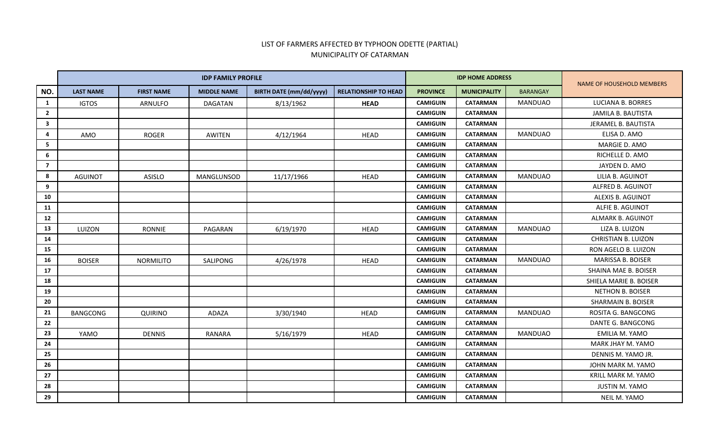## LIST OF FARMERS AFFECTED BY TYPHOON ODETTE (PARTIAL) MUNICIPALITY OF CATARMAN

|                         |                  |                   | <b>IDP FAMILY PROFILE</b> |                                |                             | <b>IDP HOME ADDRESS</b> | NAME OF HOUSEHOLD MEMBERS |                 |                            |
|-------------------------|------------------|-------------------|---------------------------|--------------------------------|-----------------------------|-------------------------|---------------------------|-----------------|----------------------------|
| NO.                     | <b>LAST NAME</b> | <b>FIRST NAME</b> | <b>MIDDLE NAME</b>        | <b>BIRTH DATE (mm/dd/yyyy)</b> | <b>RELATIONSHIP TO HEAD</b> | <b>PROVINCE</b>         | <b>MUNICIPALITY</b>       | <b>BARANGAY</b> |                            |
| 1                       | <b>IGTOS</b>     | ARNULFO           | <b>DAGATAN</b>            | 8/13/1962                      | <b>HEAD</b>                 | <b>CAMIGUIN</b>         | <b>CATARMAN</b>           | <b>MANDUAO</b>  | <b>LUCIANA B. BORRES</b>   |
| $\overline{2}$          |                  |                   |                           |                                |                             | <b>CAMIGUIN</b>         | <b>CATARMAN</b>           |                 | JAMILA B. BAUTISTA         |
| $\overline{\mathbf{3}}$ |                  |                   |                           |                                |                             | <b>CAMIGUIN</b>         | <b>CATARMAN</b>           |                 | JERAMEL B. BAUTISTA        |
| $\overline{4}$          | AMO              | <b>ROGER</b>      | AWITEN                    | 4/12/1964                      | <b>HEAD</b>                 | <b>CAMIGUIN</b>         | <b>CATARMAN</b>           | <b>MANDUAO</b>  | ELISA D. AMO               |
| -5                      |                  |                   |                           |                                |                             | <b>CAMIGUIN</b>         | <b>CATARMAN</b>           |                 | MARGIE D. AMO              |
| 6                       |                  |                   |                           |                                |                             | <b>CAMIGUIN</b>         | <b>CATARMAN</b>           |                 | RICHELLE D. AMO            |
| $\overline{7}$          |                  |                   |                           |                                |                             | <b>CAMIGUIN</b>         | <b>CATARMAN</b>           |                 | JAYDEN D. AMO              |
| 8                       | <b>AGUINOT</b>   | ASISLO            | MANGLUNSOD                | 11/17/1966                     | <b>HEAD</b>                 | <b>CAMIGUIN</b>         | <b>CATARMAN</b>           | <b>MANDUAO</b>  | LILIA B. AGUINOT           |
| 9                       |                  |                   |                           |                                |                             | <b>CAMIGUIN</b>         | <b>CATARMAN</b>           |                 | ALFRED B. AGUINOT          |
| 10                      |                  |                   |                           |                                |                             | <b>CAMIGUIN</b>         | <b>CATARMAN</b>           |                 | ALEXIS B. AGUINOT          |
| 11                      |                  |                   |                           |                                |                             | <b>CAMIGUIN</b>         | <b>CATARMAN</b>           |                 | ALFIE B. AGUINOT           |
| 12                      |                  |                   |                           |                                |                             | <b>CAMIGUIN</b>         | <b>CATARMAN</b>           |                 | <b>ALMARK B. AGUINOT</b>   |
| 13                      | LUIZON           | <b>RONNIE</b>     | PAGARAN                   | 6/19/1970                      | <b>HEAD</b>                 | <b>CAMIGUIN</b>         | <b>CATARMAN</b>           | <b>MANDUAO</b>  | LIZA B. LUIZON             |
| 14                      |                  |                   |                           |                                |                             | <b>CAMIGUIN</b>         | <b>CATARMAN</b>           |                 | <b>CHRISTIAN B. LUIZON</b> |
| 15                      |                  |                   |                           |                                |                             | <b>CAMIGUIN</b>         | <b>CATARMAN</b>           |                 | RON AGELO B. LUIZON        |
| 16                      | <b>BOISER</b>    | <b>NORMILITO</b>  | SALIPONG                  | 4/26/1978                      | <b>HEAD</b>                 | <b>CAMIGUIN</b>         | <b>CATARMAN</b>           | <b>MANDUAO</b>  | MARISSA B. BOISER          |
| 17                      |                  |                   |                           |                                |                             | <b>CAMIGUIN</b>         | <b>CATARMAN</b>           |                 | SHAINA MAE B. BOISER       |
| 18                      |                  |                   |                           |                                |                             | <b>CAMIGUIN</b>         | <b>CATARMAN</b>           |                 | SHIELA MARIE B. BOISER     |
| 19                      |                  |                   |                           |                                |                             | <b>CAMIGUIN</b>         | <b>CATARMAN</b>           |                 | <b>NETHON B. BOISER</b>    |
| 20                      |                  |                   |                           |                                |                             | <b>CAMIGUIN</b>         | <b>CATARMAN</b>           |                 | <b>SHARMAIN B. BOISER</b>  |
| 21                      | <b>BANGCONG</b>  | <b>QUIRINO</b>    | ADAZA                     | 3/30/1940                      | <b>HEAD</b>                 | <b>CAMIGUIN</b>         | <b>CATARMAN</b>           | <b>MANDUAO</b>  | ROSITA G. BANGCONG         |
| 22                      |                  |                   |                           |                                |                             | <b>CAMIGUIN</b>         | <b>CATARMAN</b>           |                 | DANTE G. BANGCONG          |
| 23                      | YAMO             | <b>DENNIS</b>     | RANARA                    | 5/16/1979                      | <b>HEAD</b>                 | <b>CAMIGUIN</b>         | <b>CATARMAN</b>           | <b>MANDUAO</b>  | EMILIA M. YAMO             |
| 24                      |                  |                   |                           |                                |                             | <b>CAMIGUIN</b>         | <b>CATARMAN</b>           |                 | MARK JHAY M. YAMO          |
| 25                      |                  |                   |                           |                                |                             | <b>CAMIGUIN</b>         | <b>CATARMAN</b>           |                 | DENNIS M. YAMO JR.         |
| 26                      |                  |                   |                           |                                |                             | <b>CAMIGUIN</b>         | <b>CATARMAN</b>           |                 | JOHN MARK M. YAMO          |
| 27                      |                  |                   |                           |                                |                             | <b>CAMIGUIN</b>         | <b>CATARMAN</b>           |                 | <b>KRILL MARK M. YAMO</b>  |
| 28                      |                  |                   |                           |                                |                             | <b>CAMIGUIN</b>         | <b>CATARMAN</b>           |                 | <b>JUSTIN M. YAMO</b>      |
| 29                      |                  |                   |                           |                                |                             | <b>CAMIGUIN</b>         | <b>CATARMAN</b>           |                 | NEIL M. YAMO               |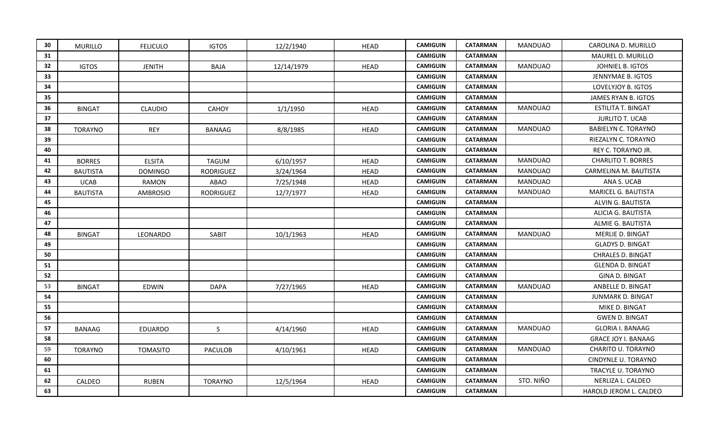| 30 | <b>MURILLO</b>  | <b>FELICULO</b> | <b>IGTOS</b>   | 12/2/1940  | <b>HEAD</b> | <b>CAMIGUIN</b> | <b>CATARMAN</b> | <b>MANDUAO</b> | CAROLINA D. MURILLO        |
|----|-----------------|-----------------|----------------|------------|-------------|-----------------|-----------------|----------------|----------------------------|
| 31 |                 |                 |                |            |             | <b>CAMIGUIN</b> | <b>CATARMAN</b> |                | MAUREL D. MURILLO          |
| 32 | <b>IGTOS</b>    | <b>JENITH</b>   | <b>BAJA</b>    | 12/14/1979 | <b>HEAD</b> | <b>CAMIGUIN</b> | <b>CATARMAN</b> | <b>MANDUAO</b> | JOHNIEL B. IGTOS           |
| 33 |                 |                 |                |            |             | <b>CAMIGUIN</b> | <b>CATARMAN</b> |                | JENNYMAE B. IGTOS          |
| 34 |                 |                 |                |            |             | <b>CAMIGUIN</b> | <b>CATARMAN</b> |                | LOVELYJOY B. IGTOS         |
| 35 |                 |                 |                |            |             | <b>CAMIGUIN</b> | <b>CATARMAN</b> |                | JAMES RYAN B. IGTOS        |
| 36 | <b>BINGAT</b>   | <b>CLAUDIO</b>  | CAHOY          | 1/1/1950   | <b>HEAD</b> | <b>CAMIGUIN</b> | <b>CATARMAN</b> | <b>MANDUAO</b> | ESTILITA T. BINGAT         |
| 37 |                 |                 |                |            |             | <b>CAMIGUIN</b> | <b>CATARMAN</b> |                | <b>JURLITO T. UCAB</b>     |
| 38 | <b>TORAYNO</b>  | <b>REY</b>      | BANAAG         | 8/8/1985   | <b>HEAD</b> | <b>CAMIGUIN</b> | <b>CATARMAN</b> | <b>MANDUAO</b> | <b>BABIELYN C. TORAYNO</b> |
| 39 |                 |                 |                |            |             | <b>CAMIGUIN</b> | <b>CATARMAN</b> |                | RIEZALYN C. TORAYNO        |
| 40 |                 |                 |                |            |             | <b>CAMIGUIN</b> | <b>CATARMAN</b> |                | REY C. TORAYNO JR.         |
| 41 | <b>BORRES</b>   | <b>ELSITA</b>   | <b>TAGUM</b>   | 6/10/1957  | <b>HEAD</b> | <b>CAMIGUIN</b> | <b>CATARMAN</b> | <b>MANDUAO</b> | <b>CHARLITO T. BORRES</b>  |
| 42 | <b>BAUTISTA</b> | <b>DOMINGO</b>  | RODRIGUEZ      | 3/24/1964  | <b>HEAD</b> | <b>CAMIGUIN</b> | <b>CATARMAN</b> | <b>MANDUAO</b> | CARMELINA M. BAUTISTA      |
| 43 | <b>UCAB</b>     | RAMON           | ABAO           | 7/25/1948  | <b>HEAD</b> | <b>CAMIGUIN</b> | <b>CATARMAN</b> | <b>MANDUAO</b> | ANA S. UCAB                |
| 44 | <b>BAUTISTA</b> | AMBROSIO        | RODRIGUEZ      | 12/7/1977  | <b>HEAD</b> | <b>CAMIGUIN</b> | <b>CATARMAN</b> | <b>MANDUAO</b> | MARICEL G. BAUTISTA        |
| 45 |                 |                 |                |            |             | <b>CAMIGUIN</b> | <b>CATARMAN</b> |                | ALVIN G. BAUTISTA          |
| 46 |                 |                 |                |            |             | <b>CAMIGUIN</b> | <b>CATARMAN</b> |                | ALICIA G. BAUTISTA         |
| 47 |                 |                 |                |            |             | <b>CAMIGUIN</b> | <b>CATARMAN</b> |                | ALMIE G. BAUTISTA          |
| 48 | <b>BINGAT</b>   | LEONARDO        | SABIT          | 10/1/1963  | <b>HEAD</b> | <b>CAMIGUIN</b> | <b>CATARMAN</b> | <b>MANDUAO</b> | MERLIE D. BINGAT           |
| 49 |                 |                 |                |            |             | <b>CAMIGUIN</b> | <b>CATARMAN</b> |                | <b>GLADYS D. BINGAT</b>    |
| 50 |                 |                 |                |            |             | <b>CAMIGUIN</b> | <b>CATARMAN</b> |                | CHRALES D. BINGAT          |
| 51 |                 |                 |                |            |             | <b>CAMIGUIN</b> | <b>CATARMAN</b> |                | <b>GLENDA D. BINGAT</b>    |
| 52 |                 |                 |                |            |             | <b>CAMIGUIN</b> | <b>CATARMAN</b> |                | <b>GINA D. BINGAT</b>      |
| 53 | <b>BINGAT</b>   | <b>EDWIN</b>    | <b>DAPA</b>    | 7/27/1965  | <b>HEAD</b> | <b>CAMIGUIN</b> | <b>CATARMAN</b> | <b>MANDUAO</b> | ANBELLE D. BINGAT          |
| 54 |                 |                 |                |            |             | <b>CAMIGUIN</b> | <b>CATARMAN</b> |                | JUNMARK D. BINGAT          |
| 55 |                 |                 |                |            |             | <b>CAMIGUIN</b> | <b>CATARMAN</b> |                | MIKE D. BINGAT             |
| 56 |                 |                 |                |            |             | <b>CAMIGUIN</b> | <b>CATARMAN</b> |                | <b>GWEN D. BINGAT</b>      |
| 57 | <b>BANAAG</b>   | <b>EDUARDO</b>  | $\mathsf{S}$   | 4/14/1960  | <b>HEAD</b> | <b>CAMIGUIN</b> | <b>CATARMAN</b> | <b>MANDUAO</b> | <b>GLORIA I. BANAAG</b>    |
| 58 |                 |                 |                |            |             | <b>CAMIGUIN</b> | <b>CATARMAN</b> |                | <b>GRACE JOY I. BANAAG</b> |
| 59 | <b>TORAYNO</b>  | <b>TOMASITO</b> | <b>PACULOB</b> | 4/10/1961  | <b>HEAD</b> | <b>CAMIGUIN</b> | <b>CATARMAN</b> | <b>MANDUAO</b> | CHARITO U. TORAYNO         |
| 60 |                 |                 |                |            |             | <b>CAMIGUIN</b> | <b>CATARMAN</b> |                | CINDYNLE U. TORAYNO        |
| 61 |                 |                 |                |            |             | <b>CAMIGUIN</b> | <b>CATARMAN</b> |                | TRACYLE U. TORAYNO         |
| 62 | CALDEO          | <b>RUBEN</b>    | <b>TORAYNO</b> | 12/5/1964  | <b>HEAD</b> | <b>CAMIGUIN</b> | <b>CATARMAN</b> | STO. NIÑO      | NERLIZA L. CALDEO          |
| 63 |                 |                 |                |            |             | <b>CAMIGUIN</b> | <b>CATARMAN</b> |                | HAROLD JEROM L. CALDEO     |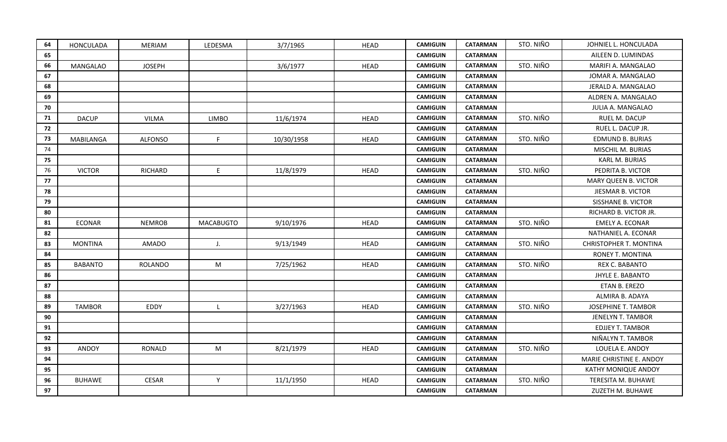| 64 | HONCULADA        | <b>MERIAM</b>  | LEDESMA          | 3/7/1965   | <b>HEAD</b> | <b>CAMIGUIN</b> | <b>CATARMAN</b> | STO. NIÑO | JOHNIEL L. HONCULADA          |
|----|------------------|----------------|------------------|------------|-------------|-----------------|-----------------|-----------|-------------------------------|
| 65 |                  |                |                  |            |             | <b>CAMIGUIN</b> | <b>CATARMAN</b> |           | AILEEN D. LUMINDAS            |
| 66 | <b>MANGALAO</b>  | <b>JOSEPH</b>  |                  | 3/6/1977   | <b>HEAD</b> | <b>CAMIGUIN</b> | <b>CATARMAN</b> | STO. NIÑO | MARIFI A. MANGALAO            |
| 67 |                  |                |                  |            |             | <b>CAMIGUIN</b> | <b>CATARMAN</b> |           | JOMAR A. MANGALAO             |
| 68 |                  |                |                  |            |             | <b>CAMIGUIN</b> | <b>CATARMAN</b> |           | JERALD A. MANGALAO            |
| 69 |                  |                |                  |            |             | <b>CAMIGUIN</b> | <b>CATARMAN</b> |           | ALDREN A. MANGALAO            |
| 70 |                  |                |                  |            |             | <b>CAMIGUIN</b> | <b>CATARMAN</b> |           | JULIA A. MANGALAO             |
| 71 | <b>DACUP</b>     | <b>VILMA</b>   | <b>LIMBO</b>     | 11/6/1974  | <b>HEAD</b> | <b>CAMIGUIN</b> | <b>CATARMAN</b> | STO. NIÑO | RUEL M. DACUP                 |
| 72 |                  |                |                  |            |             | <b>CAMIGUIN</b> | <b>CATARMAN</b> |           | RUEL L. DACUP JR.             |
| 73 | <b>MABILANGA</b> | <b>ALFONSO</b> | F                | 10/30/1958 | <b>HEAD</b> | <b>CAMIGUIN</b> | <b>CATARMAN</b> | STO. NIÑO | <b>EDMUND B. BURIAS</b>       |
| 74 |                  |                |                  |            |             | <b>CAMIGUIN</b> | <b>CATARMAN</b> |           | MISCHIL M. BURIAS             |
| 75 |                  |                |                  |            |             | <b>CAMIGUIN</b> | <b>CATARMAN</b> |           | KARL M. BURIAS                |
| 76 | <b>VICTOR</b>    | <b>RICHARD</b> | E                | 11/8/1979  | <b>HEAD</b> | <b>CAMIGUIN</b> | <b>CATARMAN</b> | STO. NIÑO | PEDRITA B. VICTOR             |
| 77 |                  |                |                  |            |             | <b>CAMIGUIN</b> | <b>CATARMAN</b> |           | MARY QUEEN B. VICTOR          |
| 78 |                  |                |                  |            |             | <b>CAMIGUIN</b> | <b>CATARMAN</b> |           | JIESMAR B. VICTOR             |
| 79 |                  |                |                  |            |             | <b>CAMIGUIN</b> | <b>CATARMAN</b> |           | SISSHANE B. VICTOR            |
| 80 |                  |                |                  |            |             | <b>CAMIGUIN</b> | <b>CATARMAN</b> |           | RICHARD B. VICTOR JR.         |
| 81 | <b>ECONAR</b>    | <b>NEMROB</b>  | <b>MACABUGTO</b> | 9/10/1976  | <b>HEAD</b> | <b>CAMIGUIN</b> | <b>CATARMAN</b> | STO. NIÑO | <b>EMELY A. ECONAR</b>        |
| 82 |                  |                |                  |            |             | <b>CAMIGUIN</b> | <b>CATARMAN</b> |           | NATHANIEL A. ECONAR           |
| 83 | <b>MONTINA</b>   | AMADO          | J.               | 9/13/1949  | <b>HEAD</b> | <b>CAMIGUIN</b> | <b>CATARMAN</b> | STO. NIÑO | <b>CHRISTOPHER T. MONTINA</b> |
| 84 |                  |                |                  |            |             | <b>CAMIGUIN</b> | <b>CATARMAN</b> |           | RONEY T. MONTINA              |
| 85 | <b>BABANTO</b>   | <b>ROLANDO</b> | M                | 7/25/1962  | <b>HEAD</b> | <b>CAMIGUIN</b> | <b>CATARMAN</b> | STO. NIÑO | REX C. BABANTO                |
| 86 |                  |                |                  |            |             | <b>CAMIGUIN</b> | <b>CATARMAN</b> |           | <b>JHYLE E. BABANTO</b>       |
| 87 |                  |                |                  |            |             | <b>CAMIGUIN</b> | <b>CATARMAN</b> |           | ETAN B. EREZO                 |
| 88 |                  |                |                  |            |             | <b>CAMIGUIN</b> | <b>CATARMAN</b> |           | ALMIRA B. ADAYA               |
| 89 | <b>TAMBOR</b>    | EDDY           | $\mathsf{L}$     | 3/27/1963  | <b>HEAD</b> | <b>CAMIGUIN</b> | <b>CATARMAN</b> | STO. NIÑO | <b>JOSEPHINE T. TAMBOR</b>    |
| 90 |                  |                |                  |            |             | <b>CAMIGUIN</b> | <b>CATARMAN</b> |           | JENELYN T. TAMBOR             |
| 91 |                  |                |                  |            |             | <b>CAMIGUIN</b> | <b>CATARMAN</b> |           | <b>EDJJEY T. TAMBOR</b>       |
| 92 |                  |                |                  |            |             | <b>CAMIGUIN</b> | <b>CATARMAN</b> |           | NIÑALYN T. TAMBOR             |
| 93 | <b>ANDOY</b>     | <b>RONALD</b>  | M                | 8/21/1979  | <b>HEAD</b> | <b>CAMIGUIN</b> | <b>CATARMAN</b> | STO. NIÑO | LOUELA E. ANDOY               |
| 94 |                  |                |                  |            |             | <b>CAMIGUIN</b> | <b>CATARMAN</b> |           | MARIE CHRISTINE E. ANDOY      |
| 95 |                  |                |                  |            |             | <b>CAMIGUIN</b> | <b>CATARMAN</b> |           | KATHY MONIQUE ANDOY           |
| 96 | <b>BUHAWE</b>    | <b>CESAR</b>   | Y                | 11/1/1950  | <b>HEAD</b> | <b>CAMIGUIN</b> | <b>CATARMAN</b> | STO. NIÑO | TERESITA M. BUHAWE            |
|    |                  |                |                  |            |             | <b>CAMIGUIN</b> |                 |           | ZUZETH M. BUHAWE              |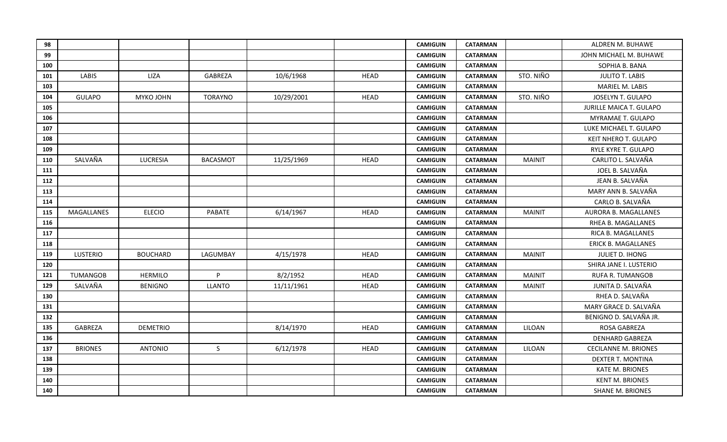| 98  |                   |                 |                 |            |             | <b>CAMIGUIN</b> | <b>CATARMAN</b> |               | ALDREN M. BUHAWE               |
|-----|-------------------|-----------------|-----------------|------------|-------------|-----------------|-----------------|---------------|--------------------------------|
| 99  |                   |                 |                 |            |             | <b>CAMIGUIN</b> | <b>CATARMAN</b> |               | JOHN MICHAEL M. BUHAWE         |
| 100 |                   |                 |                 |            |             | <b>CAMIGUIN</b> | <b>CATARMAN</b> |               | SOPHIA B. BANA                 |
| 101 | <b>LABIS</b>      | LIZA            | <b>GABREZA</b>  | 10/6/1968  | <b>HEAD</b> | <b>CAMIGUIN</b> | <b>CATARMAN</b> | STO. NIÑO     | <b>JULITO T. LABIS</b>         |
| 103 |                   |                 |                 |            |             | <b>CAMIGUIN</b> | <b>CATARMAN</b> |               | MARIEL M. LABIS                |
| 104 | <b>GULAPO</b>     | MYKO JOHN       | <b>TORAYNO</b>  | 10/29/2001 | <b>HEAD</b> | <b>CAMIGUIN</b> | <b>CATARMAN</b> | STO. NIÑO     | JOSELYN T. GULAPO              |
| 105 |                   |                 |                 |            |             | <b>CAMIGUIN</b> | <b>CATARMAN</b> |               | <b>JURILLE MAICA T. GULAPO</b> |
| 106 |                   |                 |                 |            |             | <b>CAMIGUIN</b> | <b>CATARMAN</b> |               | MYRAMAE T. GULAPO              |
| 107 |                   |                 |                 |            |             | <b>CAMIGUIN</b> | <b>CATARMAN</b> |               | LUKE MICHAEL T. GULAPO         |
| 108 |                   |                 |                 |            |             | <b>CAMIGUIN</b> | <b>CATARMAN</b> |               | KEIT NHERO T. GULAPO           |
| 109 |                   |                 |                 |            |             | <b>CAMIGUIN</b> | <b>CATARMAN</b> |               | RYLE KYRE T. GULAPO            |
| 110 | SALVAÑA           | LUCRESIA        | <b>BACASMOT</b> | 11/25/1969 | <b>HEAD</b> | <b>CAMIGUIN</b> | <b>CATARMAN</b> | <b>MAINIT</b> | CARLITO L. SALVAÑA             |
| 111 |                   |                 |                 |            |             | <b>CAMIGUIN</b> | <b>CATARMAN</b> |               | JOEL B. SALVAÑA                |
| 112 |                   |                 |                 |            |             | <b>CAMIGUIN</b> | <b>CATARMAN</b> |               | JEAN B. SALVAÑA                |
| 113 |                   |                 |                 |            |             | <b>CAMIGUIN</b> | <b>CATARMAN</b> |               | MARY ANN B. SALVAÑA            |
| 114 |                   |                 |                 |            |             | <b>CAMIGUIN</b> | <b>CATARMAN</b> |               | CARLO B. SALVAÑA               |
| 115 | <b>MAGALLANES</b> | <b>ELECIO</b>   | PABATE          | 6/14/1967  | <b>HEAD</b> | <b>CAMIGUIN</b> | <b>CATARMAN</b> | <b>MAINIT</b> | <b>AURORA B. MAGALLANES</b>    |
| 116 |                   |                 |                 |            |             | <b>CAMIGUIN</b> | <b>CATARMAN</b> |               | RHEA B. MAGALLANES             |
| 117 |                   |                 |                 |            |             | <b>CAMIGUIN</b> | <b>CATARMAN</b> |               | RICA B. MAGALLANES             |
| 118 |                   |                 |                 |            |             | <b>CAMIGUIN</b> | <b>CATARMAN</b> |               | <b>ERICK B. MAGALLANES</b>     |
| 119 | LUSTERIO          | <b>BOUCHARD</b> | LAGUMBAY        | 4/15/1978  | <b>HEAD</b> | <b>CAMIGUIN</b> | <b>CATARMAN</b> | <b>MAINIT</b> | JULIET D. IHONG                |
| 120 |                   |                 |                 |            |             | <b>CAMIGUIN</b> | <b>CATARMAN</b> |               | SHIRA JANE I. LUSTERIO         |
| 121 | <b>TUMANGOB</b>   | <b>HERMILO</b>  | P               | 8/2/1952   | <b>HEAD</b> | <b>CAMIGUIN</b> | <b>CATARMAN</b> | <b>MAINIT</b> | <b>RUFA R. TUMANGOB</b>        |
| 129 | SALVAÑA           | <b>BENIGNO</b>  | <b>LLANTO</b>   | 11/11/1961 | <b>HEAD</b> | <b>CAMIGUIN</b> | <b>CATARMAN</b> | <b>MAINIT</b> | JUNITA D. SALVAÑA              |
| 130 |                   |                 |                 |            |             | <b>CAMIGUIN</b> | <b>CATARMAN</b> |               | RHEA D. SALVAÑA                |
| 131 |                   |                 |                 |            |             | <b>CAMIGUIN</b> | <b>CATARMAN</b> |               | MARY GRACE D. SALVAÑA          |
| 132 |                   |                 |                 |            |             | <b>CAMIGUIN</b> | <b>CATARMAN</b> |               | BENIGNO D. SALVAÑA JR.         |
| 135 | GABREZA           | <b>DEMETRIO</b> |                 | 8/14/1970  | <b>HEAD</b> | <b>CAMIGUIN</b> | <b>CATARMAN</b> | LILOAN        | <b>ROSA GABREZA</b>            |
| 136 |                   |                 |                 |            |             | <b>CAMIGUIN</b> | <b>CATARMAN</b> |               | <b>DENHARD GABREZA</b>         |
| 137 | <b>BRIONES</b>    | <b>ANTONIO</b>  | $\mathsf{S}$    | 6/12/1978  | <b>HEAD</b> | <b>CAMIGUIN</b> | <b>CATARMAN</b> | LILOAN        | <b>CECILANNE M. BRIONES</b>    |
| 138 |                   |                 |                 |            |             | <b>CAMIGUIN</b> | <b>CATARMAN</b> |               | <b>DEXTER T. MONTINA</b>       |
| 139 |                   |                 |                 |            |             | <b>CAMIGUIN</b> | <b>CATARMAN</b> |               | <b>KATE M. BRIONES</b>         |
| 140 |                   |                 |                 |            |             | <b>CAMIGUIN</b> | <b>CATARMAN</b> |               | <b>KENT M. BRIONES</b>         |
| 140 |                   |                 |                 |            |             | <b>CAMIGUIN</b> | <b>CATARMAN</b> |               | <b>SHANE M. BRIONES</b>        |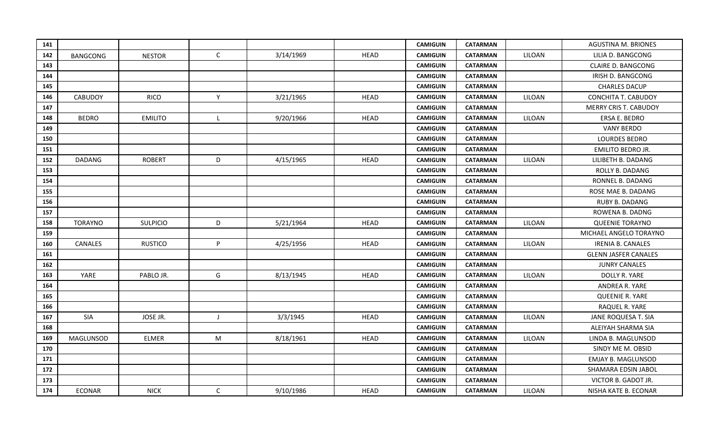| 141 |                 |                 |              |           |             | <b>CAMIGUIN</b> | <b>CATARMAN</b> |        | <b>AGUSTINA M. BRIONES</b>   |
|-----|-----------------|-----------------|--------------|-----------|-------------|-----------------|-----------------|--------|------------------------------|
| 142 | <b>BANGCONG</b> | <b>NESTOR</b>   | $\mathsf{C}$ | 3/14/1969 | <b>HEAD</b> | <b>CAMIGUIN</b> | <b>CATARMAN</b> | LILOAN | LILIA D. BANGCONG            |
| 143 |                 |                 |              |           |             | <b>CAMIGUIN</b> | <b>CATARMAN</b> |        | <b>CLAIRE D. BANGCONG</b>    |
| 144 |                 |                 |              |           |             | <b>CAMIGUIN</b> | <b>CATARMAN</b> |        | IRISH D. BANGCONG            |
| 145 |                 |                 |              |           |             | <b>CAMIGUIN</b> | <b>CATARMAN</b> |        | <b>CHARLES DACUP</b>         |
| 146 | <b>CABUDOY</b>  | <b>RICO</b>     | Y            | 3/21/1965 | <b>HEAD</b> | <b>CAMIGUIN</b> | <b>CATARMAN</b> | LILOAN | <b>CONCHITA T. CABUDOY</b>   |
| 147 |                 |                 |              |           |             | <b>CAMIGUIN</b> | <b>CATARMAN</b> |        | <b>MERRY CRIS T. CABUDOY</b> |
| 148 | <b>BEDRO</b>    | <b>EMILITO</b>  | $\mathsf{L}$ | 9/20/1966 | <b>HEAD</b> | <b>CAMIGUIN</b> | <b>CATARMAN</b> | LILOAN | ERSA E. BEDRO                |
| 149 |                 |                 |              |           |             | <b>CAMIGUIN</b> | <b>CATARMAN</b> |        | <b>VANY BERDO</b>            |
| 150 |                 |                 |              |           |             | <b>CAMIGUIN</b> | <b>CATARMAN</b> |        | <b>LOURDES BEDRO</b>         |
| 151 |                 |                 |              |           |             | <b>CAMIGUIN</b> | <b>CATARMAN</b> |        | EMILITO BEDRO JR.            |
| 152 | <b>DADANG</b>   | <b>ROBERT</b>   | D            | 4/15/1965 | <b>HEAD</b> | <b>CAMIGUIN</b> | <b>CATARMAN</b> | LILOAN | LILIBETH B. DADANG           |
| 153 |                 |                 |              |           |             | <b>CAMIGUIN</b> | <b>CATARMAN</b> |        | ROLLY B. DADANG              |
| 154 |                 |                 |              |           |             | <b>CAMIGUIN</b> | <b>CATARMAN</b> |        | RONNEL B. DADANG             |
| 155 |                 |                 |              |           |             | <b>CAMIGUIN</b> | <b>CATARMAN</b> |        | ROSE MAE B. DADANG           |
| 156 |                 |                 |              |           |             | <b>CAMIGUIN</b> | <b>CATARMAN</b> |        | RUBY B. DADANG               |
| 157 |                 |                 |              |           |             | <b>CAMIGUIN</b> | <b>CATARMAN</b> |        | ROWENA B. DADNG              |
| 158 | <b>TORAYNO</b>  | <b>SULPICIO</b> | D            | 5/21/1964 | <b>HEAD</b> | <b>CAMIGUIN</b> | <b>CATARMAN</b> | LILOAN | <b>QUEENIE TORAYNO</b>       |
| 159 |                 |                 |              |           |             | <b>CAMIGUIN</b> | <b>CATARMAN</b> |        | MICHAEL ANGELO TORAYNO       |
| 160 | CANALES         | <b>RUSTICO</b>  | P            | 4/25/1956 | <b>HEAD</b> | <b>CAMIGUIN</b> | <b>CATARMAN</b> | LILOAN | <b>IRENIA B. CANALES</b>     |
| 161 |                 |                 |              |           |             | <b>CAMIGUIN</b> | <b>CATARMAN</b> |        | <b>GLENN JASFER CANALES</b>  |
| 162 |                 |                 |              |           |             | <b>CAMIGUIN</b> | <b>CATARMAN</b> |        | <b>JUNRY CANALES</b>         |
| 163 | YARE            | PABLO JR.       | G            | 8/13/1945 | <b>HEAD</b> | <b>CAMIGUIN</b> | <b>CATARMAN</b> | LILOAN | DOLLY R. YARE                |
| 164 |                 |                 |              |           |             | <b>CAMIGUIN</b> | <b>CATARMAN</b> |        | ANDREA R. YARE               |
| 165 |                 |                 |              |           |             | <b>CAMIGUIN</b> | <b>CATARMAN</b> |        | QUEENIE R. YARE              |
| 166 |                 |                 |              |           |             | <b>CAMIGUIN</b> | <b>CATARMAN</b> |        | RAQUEL R. YARE               |
| 167 | SIA             | JOSE JR.        | $\mathsf{J}$ | 3/3/1945  | <b>HEAD</b> | <b>CAMIGUIN</b> | <b>CATARMAN</b> | LILOAN | JANE ROQUESA T. SIA          |
| 168 |                 |                 |              |           |             | <b>CAMIGUIN</b> | <b>CATARMAN</b> |        | ALEIYAH SHARMA SIA           |
| 169 | MAGLUNSOD       | <b>ELMER</b>    | M            | 8/18/1961 | <b>HEAD</b> | <b>CAMIGUIN</b> | <b>CATARMAN</b> | LILOAN | LINDA B. MAGLUNSOD           |
| 170 |                 |                 |              |           |             | <b>CAMIGUIN</b> | <b>CATARMAN</b> |        | SINDY ME M. OBSID            |
| 171 |                 |                 |              |           |             | <b>CAMIGUIN</b> | <b>CATARMAN</b> |        | <b>EMJAY B. MAGLUNSOD</b>    |
| 172 |                 |                 |              |           |             | <b>CAMIGUIN</b> | <b>CATARMAN</b> |        | SHAMARA EDSIN JABOL          |
| 173 |                 |                 |              |           |             | <b>CAMIGUIN</b> | <b>CATARMAN</b> |        | VICTOR B. GADOT JR.          |
| 174 | ECONAR          | <b>NICK</b>     | $\mathsf{C}$ | 9/10/1986 | <b>HEAD</b> | <b>CAMIGUIN</b> | <b>CATARMAN</b> | LILOAN | NISHA KATE B. ECONAR         |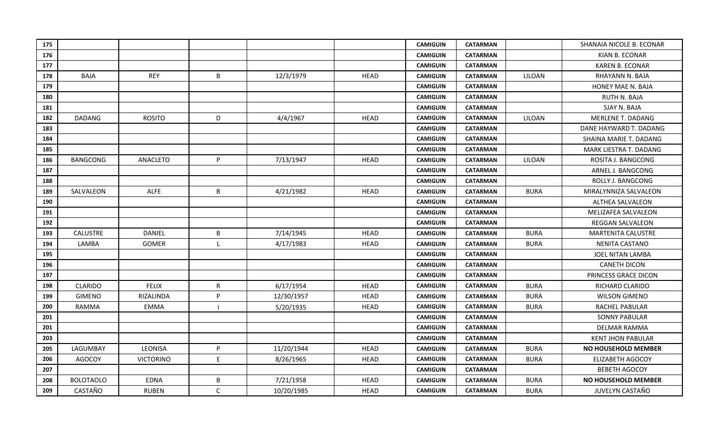| 175 |                  |                  |              |            |             | <b>CAMIGUIN</b> | <b>CATARMAN</b> |             | SHANAIA NICOLE B. ECONAR  |
|-----|------------------|------------------|--------------|------------|-------------|-----------------|-----------------|-------------|---------------------------|
| 176 |                  |                  |              |            |             | <b>CAMIGUIN</b> | <b>CATARMAN</b> |             | KIAN B. ECONAR            |
| 177 |                  |                  |              |            |             | <b>CAMIGUIN</b> | <b>CATARMAN</b> |             | <b>KAREN B. ECONAR</b>    |
| 178 | <b>BAJA</b>      | <b>REY</b>       | B            | 12/3/1979  | <b>HEAD</b> | <b>CAMIGUIN</b> | <b>CATARMAN</b> | LILOAN      | RHAYANN N. BAJA           |
| 179 |                  |                  |              |            |             | <b>CAMIGUIN</b> | <b>CATARMAN</b> |             | HONEY MAE N. BAJA         |
| 180 |                  |                  |              |            |             | <b>CAMIGUIN</b> | <b>CATARMAN</b> |             | <b>RUTH N. BAJA</b>       |
| 181 |                  |                  |              |            |             | <b>CAMIGUIN</b> | <b>CATARMAN</b> |             | SJAY N. BAJA              |
| 182 | <b>DADANG</b>    | <b>ROSITO</b>    | D            | 4/4/1967   | <b>HEAD</b> | <b>CAMIGUIN</b> | <b>CATARMAN</b> | LILOAN      | <b>MERLENE T. DADANG</b>  |
| 183 |                  |                  |              |            |             | <b>CAMIGUIN</b> | <b>CATARMAN</b> |             | DANE HAYWARD T. DADANG    |
| 184 |                  |                  |              |            |             | <b>CAMIGUIN</b> | <b>CATARMAN</b> |             | SHAINA MARIE T. DADANG    |
| 185 |                  |                  |              |            |             | <b>CAMIGUIN</b> | <b>CATARMAN</b> |             | MARK LIESTRA T. DADANG    |
| 186 | <b>BANGCONG</b>  | ANACLETO         | P            | 7/13/1947  | <b>HEAD</b> | <b>CAMIGUIN</b> | <b>CATARMAN</b> | LILOAN      | ROSITA J. BANGCONG        |
| 187 |                  |                  |              |            |             | <b>CAMIGUIN</b> | <b>CATARMAN</b> |             | ARNEL J. BANGCONG         |
| 188 |                  |                  |              |            |             | <b>CAMIGUIN</b> | <b>CATARMAN</b> |             | ROLLY J. BANGCONG         |
| 189 | SALVALEON        | <b>ALFE</b>      | B            | 4/21/1982  | <b>HEAD</b> | <b>CAMIGUIN</b> | <b>CATARMAN</b> | <b>BURA</b> | MIRALYNNIZA SALVALEON     |
| 190 |                  |                  |              |            |             | <b>CAMIGUIN</b> | <b>CATARMAN</b> |             | ALTHEA SALVALEON          |
| 191 |                  |                  |              |            |             | <b>CAMIGUIN</b> | <b>CATARMAN</b> |             | MELIZAFEA SALVALEON       |
| 192 |                  |                  |              |            |             | <b>CAMIGUIN</b> | <b>CATARMAN</b> |             | <b>REGGAN SALVALEON</b>   |
| 193 | CALUSTRE         | <b>DANIEL</b>    | B            | 7/14/1945  | <b>HEAD</b> | <b>CAMIGUIN</b> | <b>CATARMAN</b> | <b>BURA</b> | <b>MARTENITA CALUSTRE</b> |
| 194 | LAMBA            | GOMER            | $\mathsf{L}$ | 4/17/1983  | <b>HEAD</b> | <b>CAMIGUIN</b> | <b>CATARMAN</b> | <b>BURA</b> | NENITA CASTANO            |
| 195 |                  |                  |              |            |             | <b>CAMIGUIN</b> | <b>CATARMAN</b> |             | JOEL NITAN LAMBA          |
| 196 |                  |                  |              |            |             | <b>CAMIGUIN</b> | <b>CATARMAN</b> |             | <b>CANETH DICON</b>       |
| 197 |                  |                  |              |            |             | <b>CAMIGUIN</b> | <b>CATARMAN</b> |             | PRINCESS GRACE DICON      |
| 198 | CLARIDO          | <b>FELIX</b>     | $\mathsf R$  | 6/17/1954  | <b>HEAD</b> | <b>CAMIGUIN</b> | <b>CATARMAN</b> | <b>BURA</b> | RICHARD CLARIDO           |
| 199 | <b>GIMENO</b>    | RIZALINDA        | P            | 12/30/1957 | <b>HEAD</b> | <b>CAMIGUIN</b> | <b>CATARMAN</b> | <b>BURA</b> | <b>WILSON GIMENO</b>      |
| 200 | RAMMA            | <b>EMMA</b>      |              | 5/20/1935  | <b>HEAD</b> | <b>CAMIGUIN</b> | <b>CATARMAN</b> | <b>BURA</b> | <b>RACHEL PABULAR</b>     |
| 201 |                  |                  |              |            |             | <b>CAMIGUIN</b> | <b>CATARMAN</b> |             | <b>SONNY PABULAR</b>      |
| 201 |                  |                  |              |            |             | <b>CAMIGUIN</b> | <b>CATARMAN</b> |             | DELMAR RAMMA              |
| 203 |                  |                  |              |            |             | <b>CAMIGUIN</b> | <b>CATARMAN</b> |             | <b>KENT JHON PABULAR</b>  |
| 205 | LAGUMBAY         | LEONISA          | P            | 11/20/1944 | <b>HEAD</b> | <b>CAMIGUIN</b> | <b>CATARMAN</b> | <b>BURA</b> | NO HOUSEHOLD MEMBER       |
| 206 | <b>AGOCOY</b>    | <b>VICTORINO</b> | $\mathsf E$  | 8/26/1965  | <b>HEAD</b> | <b>CAMIGUIN</b> | <b>CATARMAN</b> | <b>BURA</b> | <b>ELIZABETH AGOCOY</b>   |
| 207 |                  |                  |              |            |             | <b>CAMIGUIN</b> | <b>CATARMAN</b> |             | <b>BEBETH AGOCOY</b>      |
| 208 | <b>BOLOTAOLO</b> | <b>EDNA</b>      | B            | 7/21/1958  | <b>HEAD</b> | <b>CAMIGUIN</b> | <b>CATARMAN</b> | <b>BURA</b> | NO HOUSEHOLD MEMBER       |
| 209 | CASTAÑO          | <b>RUBEN</b>     | $\mathsf{C}$ | 10/20/1985 | <b>HEAD</b> | <b>CAMIGUIN</b> | <b>CATARMAN</b> | <b>BURA</b> | JUVELYN CASTAÑO           |